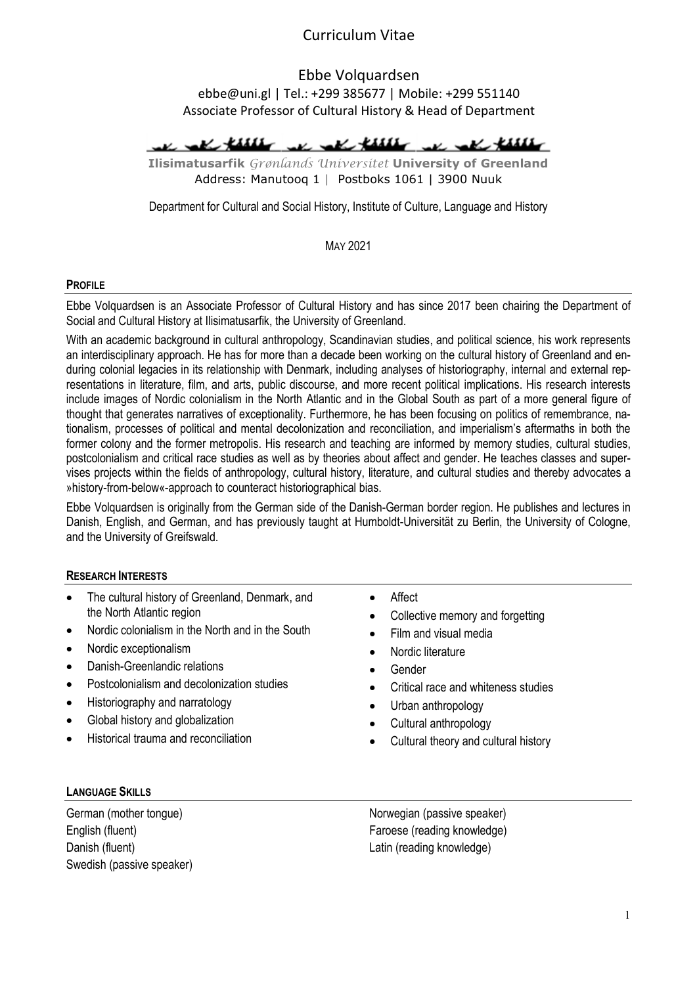Ebbe Volquardsen ebbe@uni.gl | Tel.: +299 385677 | Mobile: +299 551140 Associate Professor of Cultural History & Head of Department

The rate third we call third we call third

Ilisimatusarfik Grønlands Universitet University of Greenland Address: Manutooq 1 | Postboks 1061 | 3900 Nuuk

Department for Cultural and Social History, Institute of Culture, Language and History

MAY 2021

#### **PROFILE**

Ebbe Volquardsen is an Associate Professor of Cultural History and has since 2017 been chairing the Department of Social and Cultural History at Ilisimatusarfik, the University of Greenland.

With an academic background in cultural anthropology, Scandinavian studies, and political science, his work represents an interdisciplinary approach. He has for more than a decade been working on the cultural history of Greenland and enduring colonial legacies in its relationship with Denmark, including analyses of historiography, internal and external representations in literature, film, and arts, public discourse, and more recent political implications. His research interests include images of Nordic colonialism in the North Atlantic and in the Global South as part of a more general figure of thought that generates narratives of exceptionality. Furthermore, he has been focusing on politics of remembrance, nationalism, processes of political and mental decolonization and reconciliation, and imperialism's aftermaths in both the former colony and the former metropolis. His research and teaching are informed by memory studies, cultural studies, postcolonialism and critical race studies as well as by theories about affect and gender. He teaches classes and supervises projects within the fields of anthropology, cultural history, literature, and cultural studies and thereby advocates a »history-from-below«-approach to counteract historiographical bias.

Ebbe Volquardsen is originally from the German side of the Danish-German border region. He publishes and lectures in Danish, English, and German, and has previously taught at Humboldt-Universität zu Berlin, the University of Cologne, and the University of Greifswald.

#### RESEARCH INTERESTS

- The cultural history of Greenland, Denmark, and the North Atlantic region
- Nordic colonialism in the North and in the South
- Nordic exceptionalism
- Danish-Greenlandic relations
- Postcolonialism and decolonization studies
- Historiography and narratology
- Global history and globalization
- Historical trauma and reconciliation
- Affect
- Collective memory and forgetting
- Film and visual media
- Nordic literature
- Gender
- Critical race and whiteness studies
- Urban anthropology
- Cultural anthropology
- Cultural theory and cultural history

#### LANGUAGE SKILLS

German (mother tongue) English (fluent) Danish (fluent) Swedish (passive speaker) Norwegian (passive speaker) Faroese (reading knowledge) Latin (reading knowledge)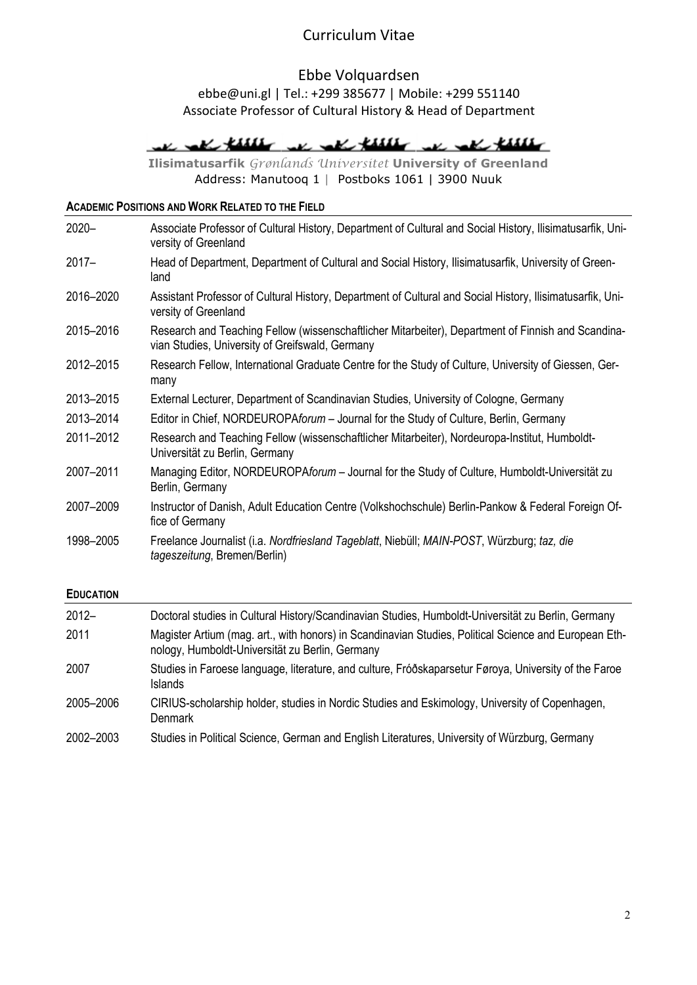# Ebbe Volquardsen

### ebbe@uni.gl | Tel.: +299 385677 | Mobile: +299 551140 Associate Professor of Cultural History & Head of Department

# we all these we all these we all these

Ilisimatusarfik Grønlands Universitet University of Greenland Address: Manutooq 1 | Postboks 1061 | 3900 Nuuk

### ACADEMIC POSITIONS AND WORK RELATED TO THE FIELD

| $2020 -$  | Associate Professor of Cultural History, Department of Cultural and Social History, Ilisimatusarfik, Uni-<br>versity of Greenland                     |
|-----------|-------------------------------------------------------------------------------------------------------------------------------------------------------|
| $2017 -$  | Head of Department, Department of Cultural and Social History, Ilisimatusarfik, University of Green-<br>land                                          |
| 2016-2020 | Assistant Professor of Cultural History, Department of Cultural and Social History, Ilisimatusarfik, Uni-<br>versity of Greenland                     |
| 2015-2016 | Research and Teaching Fellow (wissenschaftlicher Mitarbeiter), Department of Finnish and Scandina-<br>vian Studies, University of Greifswald, Germany |
| 2012-2015 | Research Fellow, International Graduate Centre for the Study of Culture, University of Giessen, Ger-<br>many                                          |
| 2013-2015 | External Lecturer, Department of Scandinavian Studies, University of Cologne, Germany                                                                 |
| 2013-2014 | Editor in Chief, NORDEUROPAforum - Journal for the Study of Culture, Berlin, Germany                                                                  |
| 2011-2012 | Research and Teaching Fellow (wissenschaftlicher Mitarbeiter), Nordeuropa-Institut, Humboldt-<br>Universität zu Berlin, Germany                       |
| 2007-2011 | Managing Editor, NORDEUROPAforum - Journal for the Study of Culture, Humboldt-Universität zu<br>Berlin, Germany                                       |
| 2007-2009 | Instructor of Danish, Adult Education Centre (Volkshochschule) Berlin-Pankow & Federal Foreign Of-<br>fice of Germany                                 |
| 1998-2005 | Freelance Journalist (i.a. Nordfriesland Tageblatt, Niebüll; MAIN-POST, Würzburg; taz, die<br>tageszeitung, Bremen/Berlin)                            |

#### EDUCATION

| $2012 -$  | Doctoral studies in Cultural History/Scandinavian Studies, Humboldt-Universität zu Berlin, Germany                                                       |
|-----------|----------------------------------------------------------------------------------------------------------------------------------------------------------|
| 2011      | Magister Artium (mag. art., with honors) in Scandinavian Studies, Political Science and European Eth-<br>nology, Humboldt-Universität zu Berlin, Germany |
| 2007      | Studies in Faroese language, literature, and culture, Fróðskaparsetur Føroya, University of the Faroe<br><b>Islands</b>                                  |
| 2005–2006 | CIRIUS-scholarship holder, studies in Nordic Studies and Eskimology, University of Copenhagen,<br><b>Denmark</b>                                         |
| 2002-2003 | Studies in Political Science, German and English Literatures, University of Würzburg, Germany                                                            |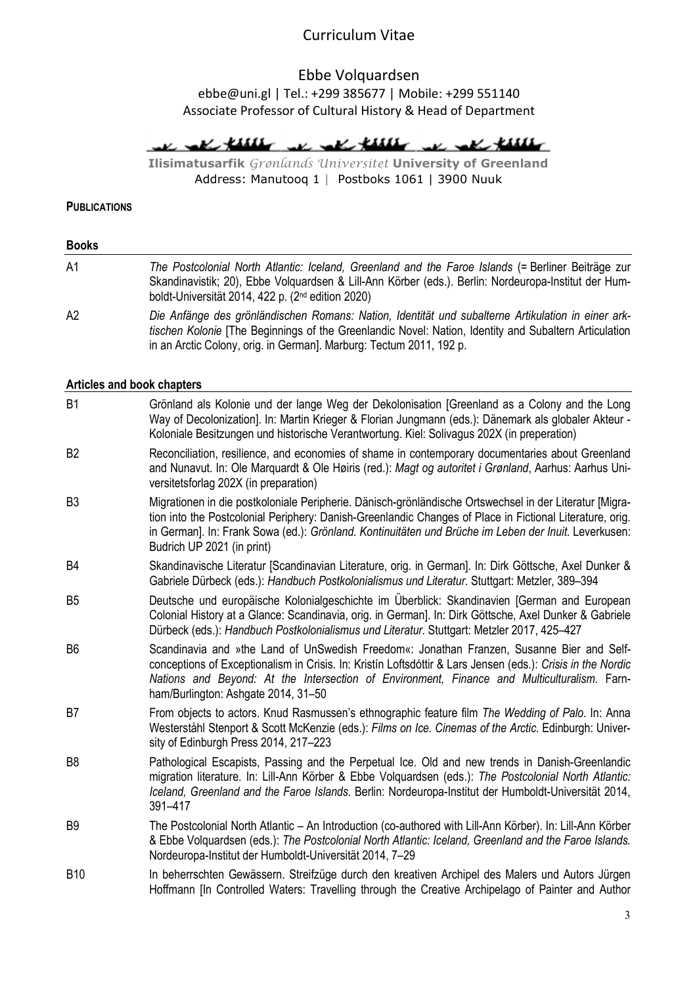### Ebbe Volquardsen ebbe@uni.gl | Tel.: +299 385677 | Mobile: +299 551140 Associate Professor of Cultural History & Head of Department

we all these we all these we all these

Ilisimatusarfik Grønlands Universitet University of Greenland Address: Manutooq 1 | Postboks 1061 | 3900 Nuuk

**PUBLICATIONS** 

Books A1 The Postcolonial North Atlantic: Iceland, Greenland and the Faroe Islands (= Berliner Beiträge zur Skandinavistik; 20), Ebbe Volquardsen & Lill-Ann Körber (eds.). Berlin: Nordeuropa-Institut der Humboldt-Universität 2014, 422 p. (2nd edition 2020) A2 Die Anfänge des grönländischen Romans: Nation, Identität und subalterne Artikulation in einer arktischen Kolonie [The Beginnings of the Greenlandic Novel: Nation, Identity and Subaltern Articulation in an Arctic Colony, orig. in German]. Marburg: Tectum 2011, 192 p.

#### Articles and book chapters

| B <sub>1</sub> | Grönland als Kolonie und der lange Weg der Dekolonisation [Greenland as a Colony and the Long<br>Way of Decolonization]. In: Martin Krieger & Florian Jungmann (eds.): Dänemark als globaler Akteur -<br>Koloniale Besitzungen und historische Verantwortung. Kiel: Solivagus 202X (in preperation)                                                       |
|----------------|-----------------------------------------------------------------------------------------------------------------------------------------------------------------------------------------------------------------------------------------------------------------------------------------------------------------------------------------------------------|
| B <sub>2</sub> | Reconciliation, resilience, and economies of shame in contemporary documentaries about Greenland<br>and Nunavut. In: Ole Marquardt & Ole Høiris (red.): Magt og autoritet i Grønland, Aarhus: Aarhus Uni-<br>versitetsforlag 202X (in preparation)                                                                                                        |
| B <sub>3</sub> | Migrationen in die postkoloniale Peripherie. Dänisch-grönländische Ortswechsel in der Literatur [Migra-<br>tion into the Postcolonial Periphery: Danish-Greenlandic Changes of Place in Fictional Literature, orig.<br>in German]. In: Frank Sowa (ed.): Grönland. Kontinuitäten und Brüche im Leben der Inuit. Leverkusen:<br>Budrich UP 2021 (in print) |
| B <sub>4</sub> | Skandinavische Literatur [Scandinavian Literature, orig. in German]. In: Dirk Göttsche, Axel Dunker &<br>Gabriele Dürbeck (eds.): Handbuch Postkolonialismus und Literatur. Stuttgart: Metzler, 389-394                                                                                                                                                   |
| B <sub>5</sub> | Deutsche und europäische Kolonialgeschichte im Überblick: Skandinavien [German and European<br>Colonial History at a Glance: Scandinavia, orig. in German]. In: Dirk Göttsche, Axel Dunker & Gabriele<br>Dürbeck (eds.): Handbuch Postkolonialismus und Literatur. Stuttgart: Metzler 2017, 425-427                                                       |
| B <sub>6</sub> | Scandinavia and »the Land of UnSwedish Freedom«: Jonathan Franzen, Susanne Bier and Self-<br>conceptions of Exceptionalism in Crisis. In: Kristín Loftsdóttir & Lars Jensen (eds.): Crisis in the Nordic<br>Nations and Beyond: At the Intersection of Environment, Finance and Multiculturalism. Farn-<br>ham/Burlington: Ashgate 2014, 31-50            |
| B <sub>7</sub> | From objects to actors. Knud Rasmussen's ethnographic feature film The Wedding of Palo. In: Anna<br>Westerståhl Stenport & Scott McKenzie (eds.): Films on Ice. Cinemas of the Arctic. Edinburgh: Univer-<br>sity of Edinburgh Press 2014, 217-223                                                                                                        |
| B <sub>8</sub> | Pathological Escapists, Passing and the Perpetual Ice. Old and new trends in Danish-Greenlandic<br>migration literature. In: Lill-Ann Körber & Ebbe Volquardsen (eds.): The Postcolonial North Atlantic:<br>Iceland, Greenland and the Faroe Islands. Berlin: Nordeuropa-Institut der Humboldt-Universität 2014,<br>391-417                               |
| B <sub>9</sub> | The Postcolonial North Atlantic - An Introduction (co-authored with Lill-Ann Körber). In: Lill-Ann Körber<br>& Ebbe Volquardsen (eds.): The Postcolonial North Atlantic: Iceland, Greenland and the Faroe Islands.<br>Nordeuropa-Institut der Humboldt-Universität 2014, 7-29                                                                             |
| <b>B10</b>     | In beherrschten Gewässern. Streifzüge durch den kreativen Archipel des Malers und Autors Jürgen<br>Hoffmann [In Controlled Waters: Travelling through the Creative Archipelago of Painter and Author                                                                                                                                                      |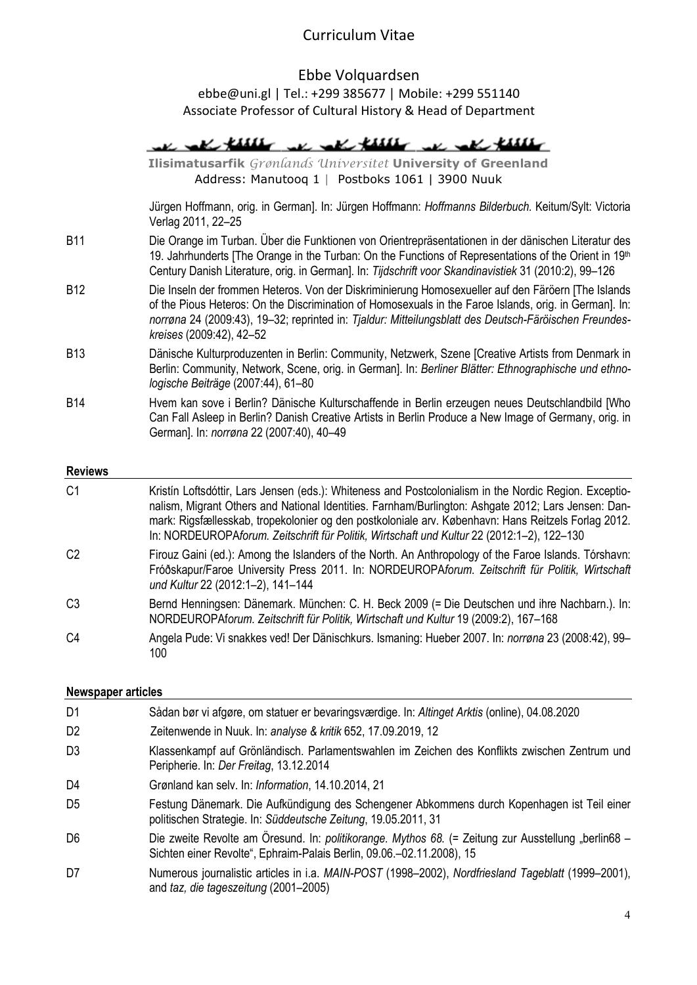### Ebbe Volquardsen ebbe@uni.gl | Tel.: +299 385677 | Mobile: +299 551140 Associate Professor of Cultural History & Head of Department

|                 | I all these we all these                                                                                                                                                                                                                                                                                                                          |
|-----------------|---------------------------------------------------------------------------------------------------------------------------------------------------------------------------------------------------------------------------------------------------------------------------------------------------------------------------------------------------|
|                 | Ilisimatusarfik Grønlands Universitet University of Greenland<br>Address: Manutoog 1   Postboks 1061   3900 Nuuk                                                                                                                                                                                                                                  |
|                 | Jürgen Hoffmann, orig. in German]. In: Jürgen Hoffmann: Hoffmanns Bilderbuch. Keitum/Sylt: Victoria<br>Verlag 2011, 22-25                                                                                                                                                                                                                         |
| <b>B11</b>      | Die Orange im Turban. Über die Funktionen von Orientrepräsentationen in der dänischen Literatur des<br>19. Jahrhunderts [The Orange in the Turban: On the Functions of Representations of the Orient in $19th$<br>Century Danish Literature, orig. in German]. In: Tijdschrift voor Skandinavistiek 31 (2010:2), 99-126                           |
| B <sub>12</sub> | Die Inseln der frommen Heteros. Von der Diskriminierung Homosexueller auf den Färöern [The Islands<br>of the Pious Heteros: On the Discrimination of Homosexuals in the Faroe Islands, orig. in German]. In:<br>norrøna 24 (2009:43), 19–32; reprinted in: Tjaldur: Mitteilungsblatt des Deutsch-Färöischen Freundes-<br>kreises (2009:42), 42-52 |
| <b>B13</b>      | Dänische Kulturproduzenten in Berlin: Community, Netzwerk, Szene [Creative Artists from Denmark in<br>Berlin: Community, Network, Scene, orig. in German]. In: Berliner Blätter: Ethnographische und ethno-<br>logische Beiträge (2007:44), 61-80                                                                                                 |
| <b>B14</b>      | Hvem kan sove i Berlin? Dänische Kulturschaffende in Berlin erzeugen neues Deutschlandbild [Who<br>Can Fall Asleep in Berlin? Danish Creative Artists in Berlin Produce a New Image of Germany, orig. in<br>German]. In: norrøna 22 (2007:40), 40-49                                                                                              |
| <b>Reviews</b>  |                                                                                                                                                                                                                                                                                                                                                   |

### C1 Kristín Loftsdóttir, Lars Jensen (eds.): Whiteness and Postcolonialism in the Nordic Region. Exceptionalism, Migrant Others and National Identities. Farnham/Burlington: Ashgate 2012; Lars Jensen: Danmark: Rigsfællesskab, tropekolonier og den postkoloniale arv. København: Hans Reitzels Forlag 2012. In: NORDEUROPAforum. Zeitschrift für Politik, Wirtschaft und Kultur 22 (2012:1–2), 122–130 C2 Firouz Gaini (ed.): Among the Islanders of the North. An Anthropology of the Faroe Islands. Tórshavn: Fróðskapur/Faroe University Press 2011. In: NORDEUROPAforum. Zeitschrift für Politik, Wirtschaft und Kultur 22 (2012:1–2), 141–144 C3 Bernd Henningsen: Dänemark. München: C. H. Beck 2009 (= Die Deutschen und ihre Nachbarn.). In: NORDEUROPAforum. Zeitschrift für Politik, Wirtschaft und Kultur 19 (2009:2), 167–168 C4 Angela Pude: Vi snakkes ved! Der Dänischkurs. Ismaning: Hueber 2007. In: norrøna 23 (2008:42), 99–

#### Newspaper articles

100

| D <sub>1</sub> | Sådan bør vi afgøre, om statuer er bevaringsværdige. In: Altinget Arktis (online), 04.08.2020                                                                                |
|----------------|------------------------------------------------------------------------------------------------------------------------------------------------------------------------------|
| D <sub>2</sub> | Zeitenwende in Nuuk. In: analyse & kritik 652, 17.09.2019, 12                                                                                                                |
| D3             | Klassenkampf auf Grönländisch. Parlamentswahlen im Zeichen des Konflikts zwischen Zentrum und<br>Peripherie. In: Der Freitag, 13.12.2014                                     |
| D4             | Grønland kan selv. In: Information, 14.10.2014, 21                                                                                                                           |
| D <sub>5</sub> | Festung Dänemark. Die Aufkündigung des Schengener Abkommens durch Kopenhagen ist Teil einer<br>politischen Strategie. In: Süddeutsche Zeitung, 19.05.2011, 31                |
| D <sub>6</sub> | Die zweite Revolte am Öresund. In: politikorange. Mythos 68. (= Zeitung zur Ausstellung "berlin68 -<br>Sichten einer Revolte", Ephraim-Palais Berlin, 09.06.-02.11.2008), 15 |
| D7             | Numerous journalistic articles in i.a. MAIN-POST (1998-2002), Nordfriesland Tageblatt (1999-2001),<br>and taz, die tageszeitung (2001–2005)                                  |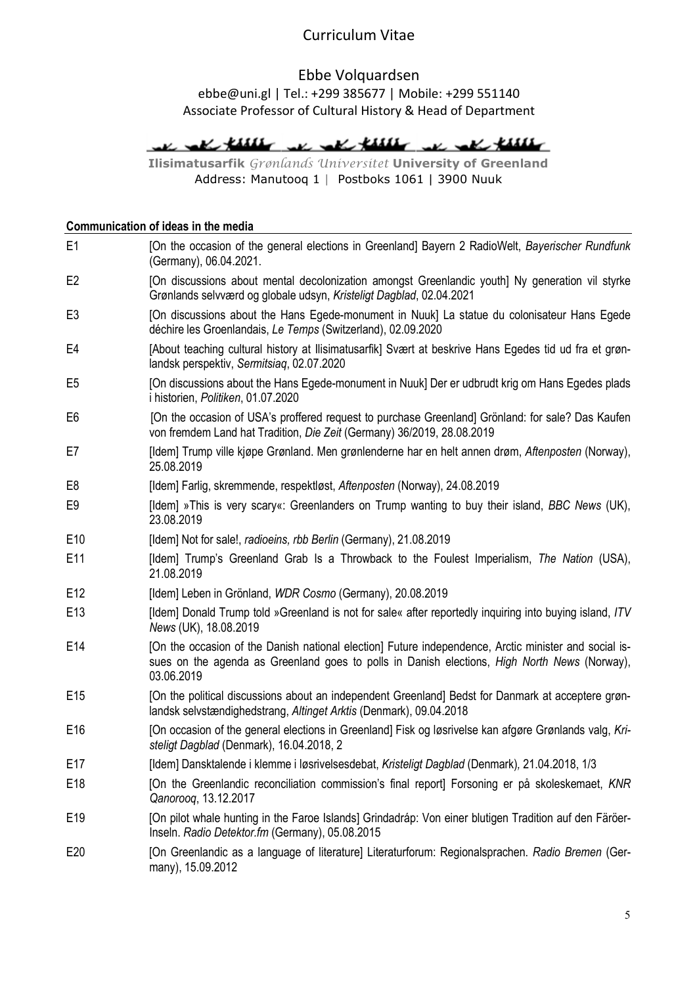# Ebbe Volquardsen

### ebbe@uni.gl | Tel.: +299 385677 | Mobile: +299 551140 Associate Professor of Cultural History & Head of Department

# We all these we all these we all these

Ilisimatusarfik Grønlands Universitet University of Greenland Address: Manutooq 1 | Postboks 1061 | 3900 Nuuk

### Communication of ideas in the media

| E <sub>1</sub>  | [On the occasion of the general elections in Greenland] Bayern 2 RadioWelt, Bayerischer Rundfunk<br>(Germany), 06.04.2021.                                                                                          |
|-----------------|---------------------------------------------------------------------------------------------------------------------------------------------------------------------------------------------------------------------|
| E <sub>2</sub>  | [On discussions about mental decolonization amongst Greenlandic youth] Ny generation vil styrke<br>Grønlands selvværd og globale udsyn, Kristeligt Dagblad, 02.04.2021                                              |
| E <sub>3</sub>  | [On discussions about the Hans Egede-monument in Nuuk] La statue du colonisateur Hans Egede<br>déchire les Groenlandais, Le Temps (Switzerland), 02.09.2020                                                         |
| E4              | [About teaching cultural history at Ilisimatusarfik] Svært at beskrive Hans Egedes tid ud fra et grøn-<br>landsk perspektiv, Sermitsiag, 02.07.2020                                                                 |
| E <sub>5</sub>  | [On discussions about the Hans Egede-monument in Nuuk] Der er udbrudt krig om Hans Egedes plads<br>i historien, Politiken, 01.07.2020                                                                               |
| E <sub>6</sub>  | [On the occasion of USA's proffered request to purchase Greenland] Grönland: for sale? Das Kaufen<br>von fremdem Land hat Tradition, Die Zeit (Germany) 36/2019, 28.08.2019                                         |
| E7              | [Idem] Trump ville kjøpe Grønland. Men grønlenderne har en helt annen drøm, Aftenposten (Norway),<br>25.08.2019                                                                                                     |
| E8              | [Idem] Farlig, skremmende, respektløst, Aftenposten (Norway), 24.08.2019                                                                                                                                            |
| E <sub>9</sub>  | [Idem] »This is very scary«: Greenlanders on Trump wanting to buy their island, BBC News (UK),<br>23.08.2019                                                                                                        |
| E <sub>10</sub> | [Idem] Not for sale!, radioeins, rbb Berlin (Germany), 21.08.2019                                                                                                                                                   |
| E11             | [Idem] Trump's Greenland Grab Is a Throwback to the Foulest Imperialism, The Nation (USA),<br>21.08.2019                                                                                                            |
| E12             | [Idem] Leben in Grönland, WDR Cosmo (Germany), 20.08.2019                                                                                                                                                           |
| E <sub>13</sub> | [Idem] Donald Trump told »Greenland is not for sale« after reportedly inquiring into buying island, ITV<br>News (UK), 18.08.2019                                                                                    |
| E14             | [On the occasion of the Danish national election] Future independence, Arctic minister and social is-<br>sues on the agenda as Greenland goes to polls in Danish elections, High North News (Norway),<br>03.06.2019 |
| E <sub>15</sub> | [On the political discussions about an independent Greenland] Bedst for Danmark at acceptere grøn-<br>landsk selvstændighedstrang, Altinget Arktis (Denmark), 09.04.2018                                            |
| E <sub>16</sub> | [On occasion of the general elections in Greenland] Fisk og løsrivelse kan afgøre Grønlands valg, Kri-<br>steligt Dagblad (Denmark), 16.04.2018, 2                                                                  |
| E17             | [Idem] Dansktalende i klemme i løsrivelsesdebat, Kristeligt Dagblad (Denmark), 21.04.2018, 1/3                                                                                                                      |
| E18             | [On the Greenlandic reconciliation commission's final report] Forsoning er på skoleskemaet, KNR<br>Qanorooq, 13.12.2017                                                                                             |
| E <sub>19</sub> | [On pilot whale hunting in the Faroe Islands] Grindadráp: Von einer blutigen Tradition auf den Färöer-<br>Inseln. Radio Detektor.fm (Germany), 05.08.2015                                                           |
| E20             | [On Greenlandic as a language of literature] Literaturforum: Regionalsprachen. Radio Bremen (Ger-<br>many), 15.09.2012                                                                                              |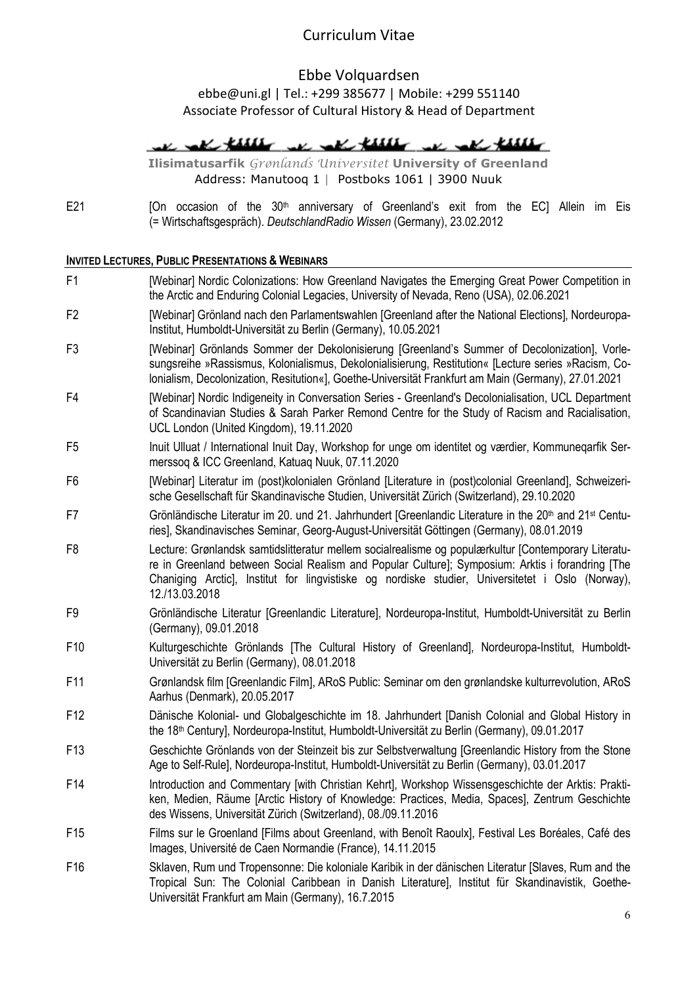### Ebbe Volquardsen

ebbe@uni.gl | Tel.: +299 385677 | Mobile: +299 551140 Associate Professor of Cultural History & Head of Department

We all these we all these we all these

Ilisimatusarfik Grønlands Universitet University of Greenland Address: Manutooq 1 | Postboks 1061 | 3900 Nuuk

E21 [On occasion of the 30<sup>th</sup> anniversary of Greenland's exit from the EC] Allein im Eis (= Wirtschaftsgespräch). DeutschlandRadio Wissen (Germany), 23.02.2012

#### INVITED LECTURES, PUBLIC PRESENTATIONS & WEBINARS

| F1              | [Webinar] Nordic Colonizations: How Greenland Navigates the Emerging Great Power Competition in<br>the Arctic and Enduring Colonial Legacies, University of Nevada, Reno (USA), 02.06.2021                                                                                                                                     |
|-----------------|--------------------------------------------------------------------------------------------------------------------------------------------------------------------------------------------------------------------------------------------------------------------------------------------------------------------------------|
| F <sub>2</sub>  | [Webinar] Grönland nach den Parlamentswahlen [Greenland after the National Elections], Nordeuropa-<br>Institut, Humboldt-Universität zu Berlin (Germany), 10.05.2021                                                                                                                                                           |
| F <sub>3</sub>  | [Webinar] Grönlands Sommer der Dekolonisierung [Greenland's Summer of Decolonization], Vorle-<br>sungsreihe »Rassismus, Kolonialismus, Dekolonialisierung, Restitution« [Lecture series »Racism, Co-<br>Ionialism, Decolonization, Resitution«], Goethe-Universität Frankfurt am Main (Germany), 27.01.2021                    |
| F4              | [Webinar] Nordic Indigeneity in Conversation Series - Greenland's Decolonialisation, UCL Department<br>of Scandinavian Studies & Sarah Parker Remond Centre for the Study of Racism and Racialisation,<br>UCL London (United Kingdom), 19.11.2020                                                                              |
| F <sub>5</sub>  | Inuit Ulluat / International Inuit Day, Workshop for unge om identitet og værdier, Kommunegarfik Ser-<br>merssog & ICC Greenland, Katuag Nuuk, 07.11.2020                                                                                                                                                                      |
| F <sub>6</sub>  | [Webinar] Literatur im (post)kolonialen Grönland [Literature in (post)colonial Greenland], Schweizeri-<br>sche Gesellschaft für Skandinavische Studien, Universität Zürich (Switzerland), 29.10.2020                                                                                                                           |
| F7              | Grönländische Literatur im 20. und 21. Jahrhundert [Greenlandic Literature in the 20 <sup>th</sup> and 21 <sup>st</sup> Centu-<br>ries], Skandinavisches Seminar, Georg-August-Universität Göttingen (Germany), 08.01.2019                                                                                                     |
| F <sub>8</sub>  | Lecture: Grønlandsk samtidslitteratur mellem socialrealisme og populærkultur [Contemporary Literatu-<br>re in Greenland between Social Realism and Popular Culture]; Symposium: Arktis i forandring [The<br>Chaniging Arctic], Institut for lingvistiske og nordiske studier, Universitetet i Oslo (Norway),<br>12./13.03.2018 |
| F <sub>9</sub>  | Grönländische Literatur [Greenlandic Literature], Nordeuropa-Institut, Humboldt-Universität zu Berlin<br>(Germany), 09.01.2018                                                                                                                                                                                                 |
| F10             | Kulturgeschichte Grönlands [The Cultural History of Greenland], Nordeuropa-Institut, Humboldt-<br>Universität zu Berlin (Germany), 08.01.2018                                                                                                                                                                                  |
| F11             | Grønlandsk film [Greenlandic Film], ARoS Public: Seminar om den grønlandske kulturrevolution, ARoS<br>Aarhus (Denmark), 20.05.2017                                                                                                                                                                                             |
| F <sub>12</sub> | Dänische Kolonial- und Globalgeschichte im 18. Jahrhundert [Danish Colonial and Global History in<br>the 18 <sup>th</sup> Century], Nordeuropa-Institut, Humboldt-Universität zu Berlin (Germany), 09.01.2017                                                                                                                  |
| F <sub>13</sub> | Geschichte Grönlands von der Steinzeit bis zur Selbstverwaltung [Greenlandic History from the Stone<br>Age to Self-Rule], Nordeuropa-Institut, Humboldt-Universität zu Berlin (Germany), 03.01.2017                                                                                                                            |
| F14             | Introduction and Commentary [with Christian Kehrt], Workshop Wissensgeschichte der Arktis: Prakti-<br>ken, Medien, Räume [Arctic History of Knowledge: Practices, Media, Spaces], Zentrum Geschichte<br>des Wissens, Universität Zürich (Switzerland), 08./09.11.2016                                                          |
| F <sub>15</sub> | Films sur le Groenland [Films about Greenland, with Benoît Raoulx], Festival Les Boréales, Café des<br>Images, Université de Caen Normandie (France), 14.11.2015                                                                                                                                                               |
| F <sub>16</sub> | Sklaven, Rum und Tropensonne: Die koloniale Karibik in der dänischen Literatur [Slaves, Rum and the<br>Tropical Sun: The Colonial Caribbean in Danish Literature], Institut für Skandinavistik, Goethe-<br>Universität Frankfurt am Main (Germany), 16.7.2015                                                                  |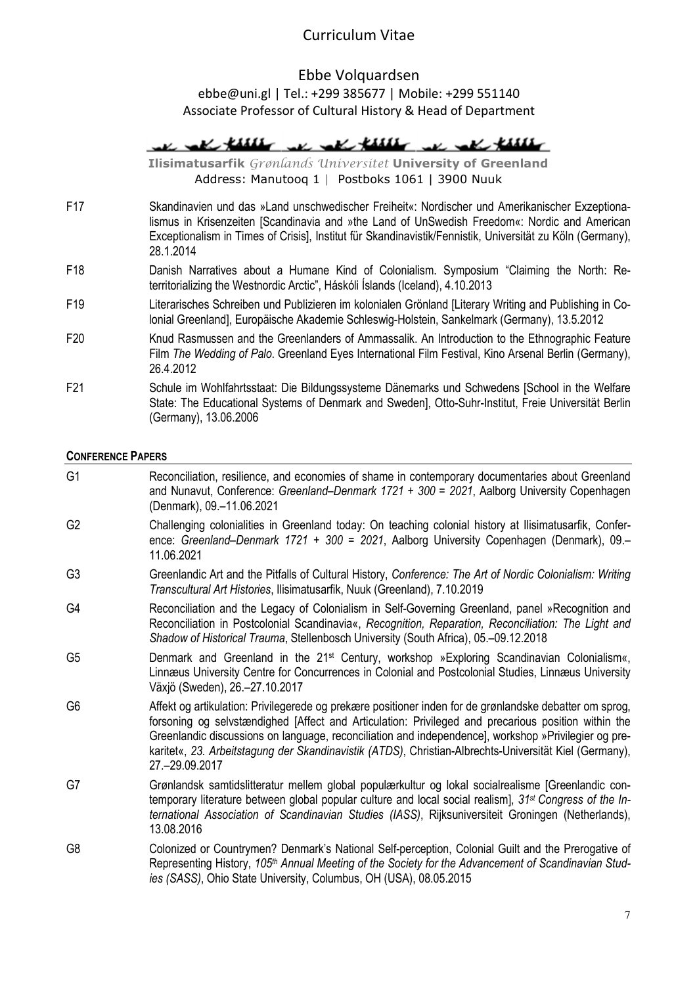# Ebbe Volquardsen ebbe@uni.gl | Tel.: +299 385677 | Mobile: +299 551140

Associate Professor of Cultural History & Head of Department

We get their we get their we get their

Ilisimatusarfik Grønlands Universitet University of Greenland Address: Manutooq 1 | Postboks 1061 | 3900 Nuuk

- F17 Skandinavien und das »Land unschwedischer Freiheit«: Nordischer und Amerikanischer Exzeptionalismus in Krisenzeiten [Scandinavia and »the Land of UnSwedish Freedom«: Nordic and American Exceptionalism in Times of Crisis], Institut für Skandinavistik/Fennistik, Universität zu Köln (Germany), 28.1.2014
- F18 Danish Narratives about a Humane Kind of Colonialism. Symposium "Claiming the North: Reterritorializing the Westnordic Arctic", Háskóli Íslands (Iceland), 4.10.2013
- F19 Literarisches Schreiben und Publizieren im kolonialen Grönland [Literary Writing and Publishing in Colonial Greenland], Europäische Akademie Schleswig-Holstein, Sankelmark (Germany), 13.5.2012
- F20 Knud Rasmussen and the Greenlanders of Ammassalik. An Introduction to the Ethnographic Feature Film The Wedding of Palo. Greenland Eves International Film Festival, Kino Arsenal Berlin (Germany), 26.4.2012
- F21 Schule im Wohlfahrtsstaat: Die Bildungssysteme Dänemarks und Schwedens [School in the Welfare State: The Educational Systems of Denmark and Sweden], Otto-Suhr-Institut, Freie Universität Berlin (Germany), 13.06.2006

#### CONFERENCE PAPERS

G1 Reconciliation, resilience, and economies of shame in contemporary documentaries about Greenland and Nunavut, Conference: Greenland–Denmark 1721 + 300 = 2021, Aalborg University Copenhagen (Denmark), 09.–11.06.2021 G2 Challenging colonialities in Greenland today: On teaching colonial history at Ilisimatusarfik, Conference: Greenland–Denmark 1721 + 300 = 2021, Aalborg University Copenhagen (Denmark), 09.– 11.06.2021 G3 Greenlandic Art and the Pitfalls of Cultural History, Conference: The Art of Nordic Colonialism: Writing Transcultural Art Histories, Ilisimatusarfik, Nuuk (Greenland), 7.10.2019 G4 Reconciliation and the Legacy of Colonialism in Self-Governing Greenland, panel »Recognition and Reconciliation in Postcolonial Scandinavia«, Recognition, Reparation, Reconciliation: The Light and Shadow of Historical Trauma, Stellenbosch University (South Africa), 05.–09.12.2018 G5 Denmark and Greenland in the 21st Century, workshop »Exploring Scandinavian Colonialism«, Linnæus University Centre for Concurrences in Colonial and Postcolonial Studies, Linnæus University Växjö (Sweden), 26.–27.10.2017 G6 Affekt og artikulation: Privilegerede og prekære positioner inden for de grønlandske debatter om sprog, forsoning og selvstændighed [Affect and Articulation: Privileged and precarious position within the Greenlandic discussions on language, reconciliation and independence], workshop »Privilegier og prekaritet«, 23. Arbeitstagung der Skandinavistik (ATDS), Christian-Albrechts-Universität Kiel (Germany), 27.–29.09.2017 G7 Grønlandsk samtidslitteratur mellem global populærkultur og lokal socialrealisme [Greenlandic contemporary literature between global popular culture and local social realism], 31<sup>st</sup> Congress of the International Association of Scandinavian Studies (IASS), Rijksuniversiteit Groningen (Netherlands), 13.08.2016 G8 Colonized or Countrymen? Denmark's National Self-perception, Colonial Guilt and the Prerogative of Representing History, 105<sup>th</sup> Annual Meeting of the Society for the Advancement of Scandinavian Studies (SASS), Ohio State University, Columbus, OH (USA), 08.05.2015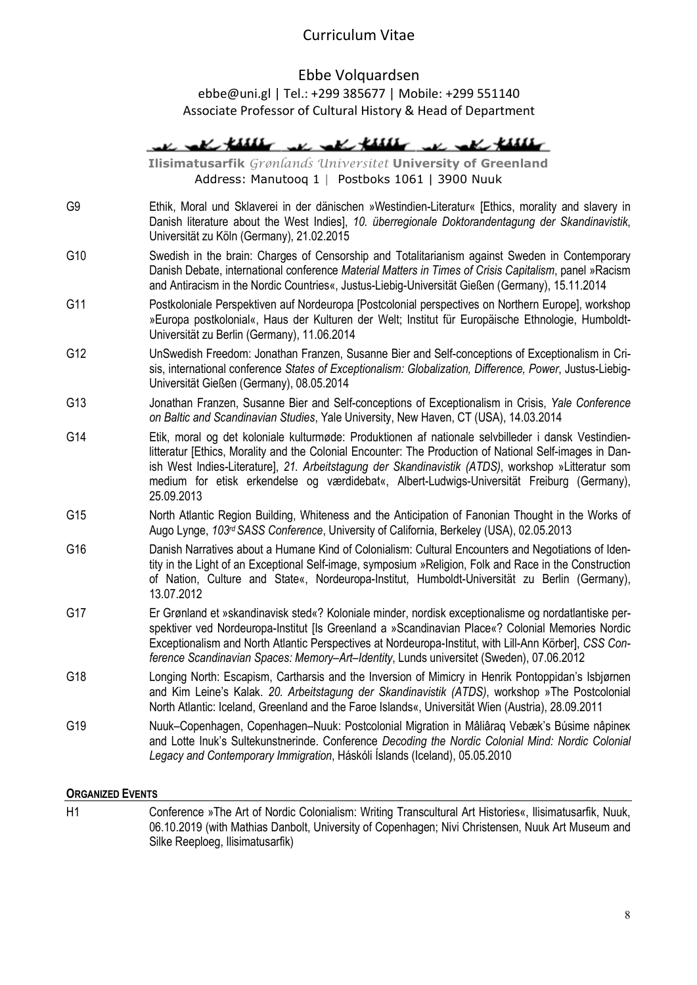Ebbe Volquardsen ebbe@uni.gl | Tel.: +299 385677 | Mobile: +299 551140 Associate Professor of Cultural History & Head of Department

|     | in all these we are these an and these                                                                                                                                                                                                                                                                                                                                                                                           |
|-----|----------------------------------------------------------------------------------------------------------------------------------------------------------------------------------------------------------------------------------------------------------------------------------------------------------------------------------------------------------------------------------------------------------------------------------|
|     | Ilisimatusarfik Grønlands Universitet University of Greenland<br>Address: Manutooq 1   Postboks 1061   3900 Nuuk                                                                                                                                                                                                                                                                                                                 |
| G9  | Ethik, Moral und Sklaverei in der dänischen »Westindien-Literatur« [Ethics, morality and slavery in<br>Danish literature about the West Indies], 10. überregionale Doktorandentagung der Skandinavistik,<br>Universität zu Köln (Germany), 21.02.2015                                                                                                                                                                            |
| G10 | Swedish in the brain: Charges of Censorship and Totalitarianism against Sweden in Contemporary<br>Danish Debate, international conference Material Matters in Times of Crisis Capitalism, panel »Racism<br>and Antiracism in the Nordic Countries«, Justus-Liebig-Universität Gießen (Germany), 15.11.2014                                                                                                                       |
| G11 | Postkoloniale Perspektiven auf Nordeuropa [Postcolonial perspectives on Northern Europe], workshop<br>»Europa postkolonial«, Haus der Kulturen der Welt; Institut für Europäische Ethnologie, Humboldt-<br>Universität zu Berlin (Germany), 11.06.2014                                                                                                                                                                           |
| G12 | UnSwedish Freedom: Jonathan Franzen, Susanne Bier and Self-conceptions of Exceptionalism in Cri-<br>sis, international conference States of Exceptionalism: Globalization, Difference, Power, Justus-Liebig-<br>Universität Gießen (Germany), 08.05.2014                                                                                                                                                                         |
| G13 | Jonathan Franzen, Susanne Bier and Self-conceptions of Exceptionalism in Crisis, Yale Conference<br>on Baltic and Scandinavian Studies, Yale University, New Haven, CT (USA), 14.03.2014                                                                                                                                                                                                                                         |
| G14 | Etik, moral og det koloniale kulturmøde: Produktionen af nationale selvbilleder i dansk Vestindien-<br>litteratur [Ethics, Morality and the Colonial Encounter: The Production of National Self-images in Dan-<br>ish West Indies-Literature], 21. Arbeitstagung der Skandinavistik (ATDS), workshop »Litteratur som<br>medium for etisk erkendelse og værdidebat«, Albert-Ludwigs-Universität Freiburg (Germany),<br>25.09.2013 |
| G15 | North Atlantic Region Building, Whiteness and the Anticipation of Fanonian Thought in the Works of<br>Augo Lynge, 103rd SASS Conference, University of California, Berkeley (USA), 02.05.2013                                                                                                                                                                                                                                    |
| G16 | Danish Narratives about a Humane Kind of Colonialism: Cultural Encounters and Negotiations of Iden-<br>tity in the Light of an Exceptional Self-image, symposium »Religion, Folk and Race in the Construction<br>of Nation, Culture and State«, Nordeuropa-Institut, Humboldt-Universität zu Berlin (Germany),<br>13.07.2012                                                                                                     |
| G17 | Er Grønland et »skandinavisk sted«? Koloniale minder, nordisk exceptionalisme og nordatlantiske per-<br>spektiver ved Nordeuropa-Institut [Is Greenland a »Scandinavian Place«? Colonial Memories Nordic<br>Exceptionalism and North Atlantic Perspectives at Nordeuropa-Institut, with Lill-Ann Körber], CSS Con-<br>ference Scandinavian Spaces: Memory-Art-Identity, Lunds universitet (Sweden), 07.06.2012                   |
| G18 | Longing North: Escapism, Cartharsis and the Inversion of Mimicry in Henrik Pontoppidan's Isbjørnen<br>and Kim Leine's Kalak. 20. Arbeitstagung der Skandinavistik (ATDS), workshop »The Postcolonial<br>North Atlantic: Iceland, Greenland and the Faroe Islands«, Universität Wien (Austria), 28.09.2011                                                                                                                        |
| G19 | Nuuk-Copenhagen, Copenhagen-Nuuk: Postcolonial Migration in Mâliâraq Vebæk's Búsime nâpinek<br>and Lotte Inuk's Sultekunstnerinde. Conference Decoding the Nordic Colonial Mind: Nordic Colonial<br>Legacy and Contemporary Immigration, Háskóli Íslands (Iceland), 05.05.2010                                                                                                                                                   |

### ORGANIZED EVENTS

H1 Conference »The Art of Nordic Colonialism: Writing Transcultural Art Histories«, Ilisimatusarfik, Nuuk, 06.10.2019 (with Mathias Danbolt, University of Copenhagen; Nivi Christensen, Nuuk Art Museum and Silke Reeploeg, Ilisimatusarfik)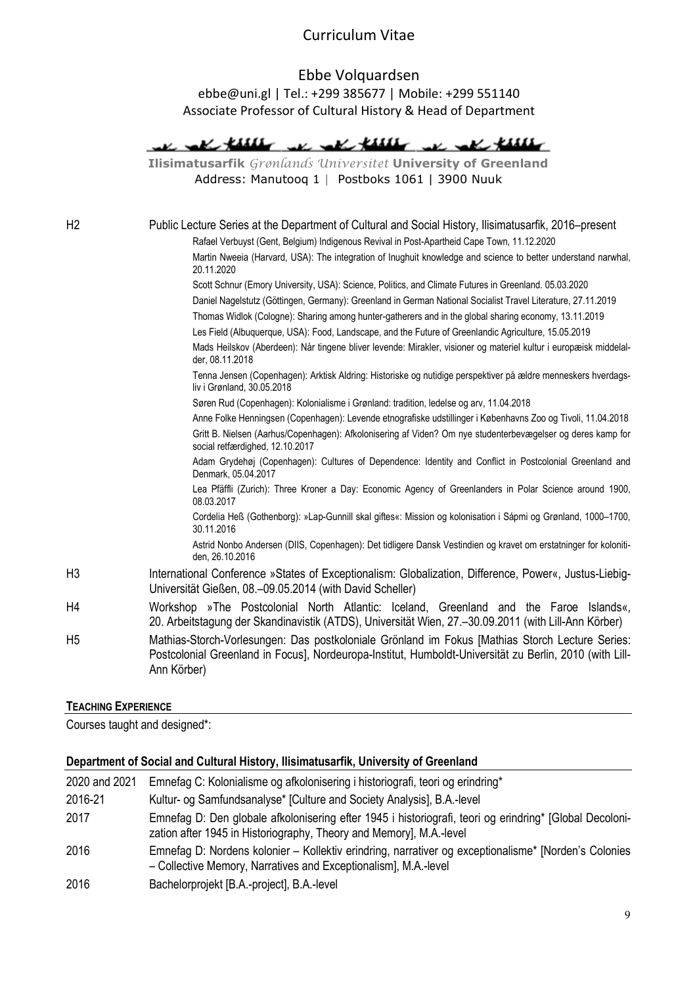# Ebbe Volquardsen ebbe@uni.gl | Tel.: +299 385677 | Mobile: +299 551140 Associate Professor of Cultural History & Head of Department

|                | m me kulle<br>ra med tillle                                                                                                                                                                                               |
|----------------|---------------------------------------------------------------------------------------------------------------------------------------------------------------------------------------------------------------------------|
|                | Ilisimatusarfik Grønlands Universitet University of Greenland                                                                                                                                                             |
|                | Address: Manutooq 1   Postboks 1061   3900 Nuuk                                                                                                                                                                           |
|                |                                                                                                                                                                                                                           |
| H <sub>2</sub> | Public Lecture Series at the Department of Cultural and Social History, Ilisimatusarfik, 2016–present                                                                                                                     |
|                | Rafael Verbuyst (Gent, Belgium) Indigenous Revival in Post-Apartheid Cape Town, 11.12.2020                                                                                                                                |
|                | Martin Nweeia (Harvard, USA): The integration of Inughuit knowledge and science to better understand narwhal,<br>20.11.2020                                                                                               |
|                | Scott Schnur (Emory University, USA): Science, Politics, and Climate Futures in Greenland. 05.03.2020                                                                                                                     |
|                | Daniel Nagelstutz (Göttingen, Germany): Greenland in German National Socialist Travel Literature, 27.11.2019                                                                                                              |
|                | Thomas Widlok (Cologne): Sharing among hunter-gatherers and in the global sharing economy, 13.11.2019                                                                                                                     |
|                | Les Field (Albuquerque, USA): Food, Landscape, and the Future of Greenlandic Agriculture, 15.05.2019                                                                                                                      |
|                | Mads Heilskov (Aberdeen): Når tingene bliver levende: Mirakler, visioner og materiel kultur i europæisk middelal-<br>der, 08.11.2018                                                                                      |
|                | Tenna Jensen (Copenhagen): Arktisk Aldring: Historiske og nutidige perspektiver på ældre menneskers hverdags-<br>liv i Grønland, 30.05.2018                                                                               |
|                | Søren Rud (Copenhagen): Kolonialisme i Grønland: tradition, ledelse og arv, 11.04.2018                                                                                                                                    |
|                | Anne Folke Henningsen (Copenhagen): Levende etnografiske udstillinger i Københavns Zoo og Tivoli, 11.04.2018                                                                                                              |
|                | Gritt B. Nielsen (Aarhus/Copenhagen): Afkolonisering af Viden? Om nye studenterbevægelser og deres kamp for<br>social retfærdighed, 12.10.2017                                                                            |
|                | Adam Grydehøj (Copenhagen): Cultures of Dependence: Identity and Conflict in Postcolonial Greenland and<br>Denmark, 05.04.2017                                                                                            |
|                | Lea Pfäffli (Zurich): Three Kroner a Day: Economic Agency of Greenlanders in Polar Science around 1900,<br>08.03.2017                                                                                                     |
|                | Cordelia Heß (Gothenborg): »Lap-Gunnill skal giftes«: Mission og kolonisation i Sápmi og Grønland, 1000-1700,<br>30.11.2016                                                                                               |
|                | Astrid Nonbo Andersen (DIIS, Copenhagen): Det tidligere Dansk Vestindien og kravet om erstatninger for koloniti-<br>den, 26.10.2016                                                                                       |
| H3             | International Conference »States of Exceptionalism: Globalization, Difference, Power«, Justus-Liebig-<br>Universität Gießen, 08.-09.05.2014 (with David Scheller)                                                         |
| Η4             | Workshop »The Postcolonial North Atlantic: Iceland, Greenland and the Faroe Islands«,<br>20. Arbeitstagung der Skandinavistik (ATDS), Universität Wien, 27.–30.09.2011 (with Lill-Ann Körber)                             |
| H5             | Mathias-Storch-Vorlesungen: Das postkoloniale Grönland im Fokus [Mathias Storch Lecture Series:<br>Postcolonial Greenland in Focus], Nordeuropa-Institut, Humboldt-Universität zu Berlin, 2010 (with Lill-<br>Ann Körber) |

#### TEACHING EXPERIENCE

Courses taught and designed\*:

## Department of Social and Cultural History, Ilisimatusarfik, University of Greenland

| 2020 and 2021 | Emnefag C: Kolonialisme og afkolonisering i historiografi, teori og erindring*                                                                                                 |
|---------------|--------------------------------------------------------------------------------------------------------------------------------------------------------------------------------|
| 2016-21       | Kultur- og Samfundsanalyse* [Culture and Society Analysis], B.A.-level                                                                                                         |
| 2017          | Emnefag D: Den globale afkolonisering efter 1945 i historiografi, teori og erindring* [Global Decoloni-<br>zation after 1945 in Historiography, Theory and Memory], M.A.-level |
| 2016          | Emnefag D: Nordens kolonier – Kollektiv erindring, narrativer og exceptionalisme* [Norden's Colonies<br>- Collective Memory, Narratives and Exceptionalism], M.A.-level        |
| 2016          | Bachelorprojekt [B.A.-project], B.A.-level                                                                                                                                     |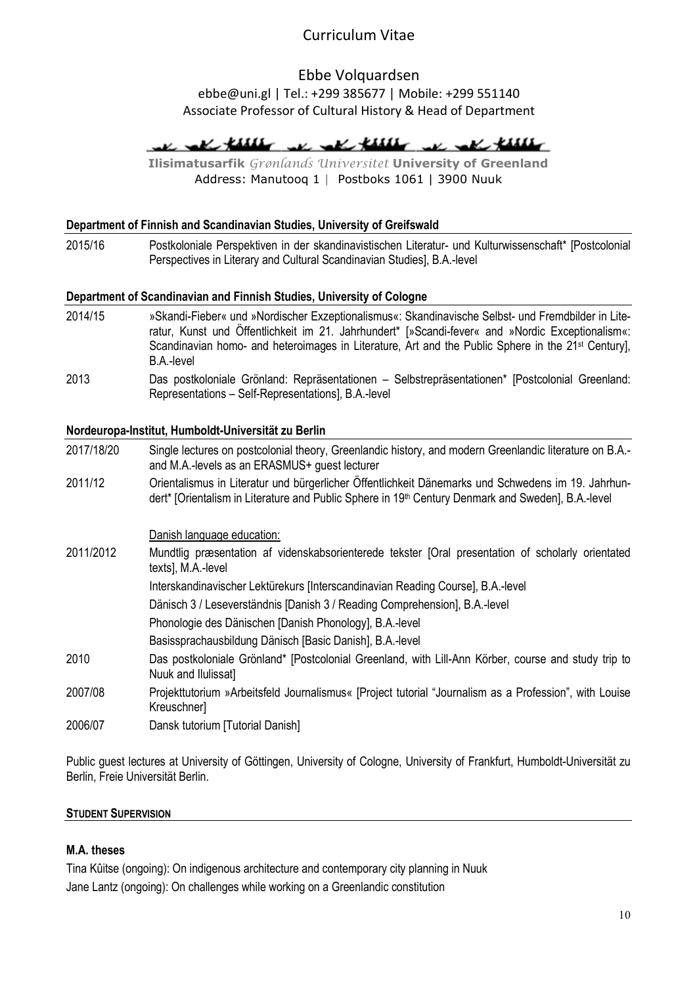### Ebbe Volquardsen ebbe@uni.gl | Tel.: +299 385677 | Mobile: +299 551140 Associate Professor of Cultural History & Head of Department

# we are these we are these we are these

Ilisimatusarfik Grønlands Universitet University of Greenland Address: Manutooq 1 | Postboks 1061 | 3900 Nuuk

### Department of Finnish and Scandinavian Studies, University of Greifswald

2015/16 Postkoloniale Perspektiven in der skandinavistischen Literatur- und Kulturwissenschaft\* [Postcolonial Perspectives in Literary and Cultural Scandinavian Studies], B.A.-level

#### Department of Scandinavian and Finnish Studies, University of Cologne

- 2014/15 »Skandi-Fieber« und »Nordischer Exzeptionalismus«: Skandinavische Selbst- und Fremdbilder in Literatur, Kunst und Öffentlichkeit im 21. Jahrhundert\* [»Scandi-fever« and »Nordic Exceptionalism«: Scandinavian homo- and heteroimages in Literature, Art and the Public Sphere in the 21<sup>st</sup> Century], B.A.-level
- 2013 Das postkoloniale Grönland: Repräsentationen Selbstrepräsentationen\* [Postcolonial Greenland: Representations – Self-Representations], B.A.-level

#### Nordeuropa-Institut, Humboldt-Universität zu Berlin

2017/18/20 Single lectures on postcolonial theory, Greenlandic history, and modern Greenlandic literature on B.A. and M.A.-levels as an ERASMUS+ guest lecturer 2011/12 Orientalismus in Literatur und bürgerlicher Öffentlichkeit Dänemarks und Schwedens im 19. Jahrhundert\* [Orientalism in Literature and Public Sphere in 19<sup>th</sup> Century Denmark and Sweden], B.A.-level Danish language education: 2011/2012 Mundtlig præsentation af videnskabsorienterede tekster [Oral presentation of scholarly orientated texts], M.A.-level Interskandinavischer Lektürekurs [Interscandinavian Reading Course], B.A.-level Dänisch 3 / Leseverständnis [Danish 3 / Reading Comprehension], B.A.-level Phonologie des Dänischen [Danish Phonology], B.A.-level Basissprachausbildung Dänisch [Basic Danish], B.A.-level 2010 Das postkoloniale Grönland\* [Postcolonial Greenland, with Lill-Ann Körber, course and study trip to Nuuk and Ilulissat] 2007/08 Projekttutorium »Arbeitsfeld Journalismus« [Project tutorial "Journalism as a Profession", with Louise Kreuschner] 2006/07 Dansk tutorium [Tutorial Danish]

Public guest lectures at University of Göttingen, University of Cologne, University of Frankfurt, Humboldt-Universität zu Berlin, Freie Universität Berlin.

#### STUDENT SUPERVISION

#### M.A. theses

Tina Kûitse (ongoing): On indigenous architecture and contemporary city planning in Nuuk Jane Lantz (ongoing): On challenges while working on a Greenlandic constitution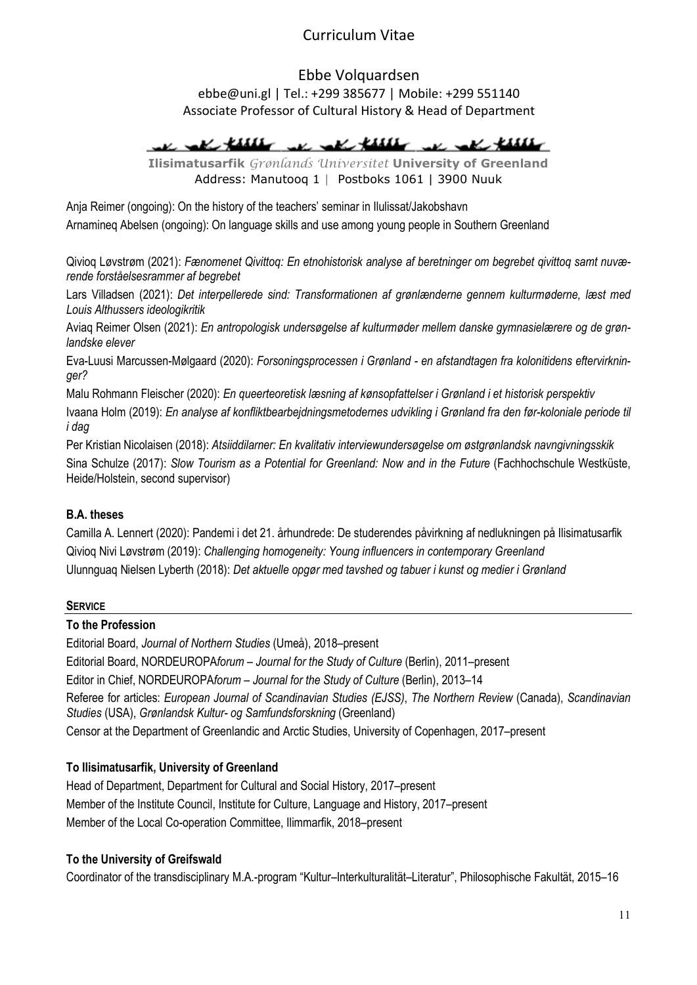Ebbe Volquardsen ebbe@uni.gl | Tel.: +299 385677 | Mobile: +299 551140 Associate Professor of Cultural History & Head of Department

The rate thanks we call that we call there

Ilisimatusarfik Grønlands Universitet University of Greenland Address: Manutooq 1 | Postboks 1061 | 3900 Nuuk

Anja Reimer (ongoing): On the history of the teachers' seminar in Ilulissat/Jakobshavn Arnamineq Abelsen (ongoing): On language skills and use among young people in Southern Greenland

Qivioq Løvstrøm (2021): Fænomenet Qivittoq: En etnohistorisk analyse af beretninger om begrebet qivittoq samt nuværende forståelsesrammer af begrebet

Lars Villadsen (2021): Det interpellerede sind: Transformationen af grønlænderne gennem kulturmøderne, læst med Louis Althussers ideologikritik

Aviaq Reimer Olsen (2021): En antropologisk undersøgelse af kulturmøder mellem danske gymnasielærere og de grønlandske elever

Eva-Luusi Marcussen-Mølgaard (2020): Forsoningsprocessen i Grønland - en afstandtagen fra kolonitidens eftervirkninger?

Malu Rohmann Fleischer (2020): En queerteoretisk læsning af kønsopfattelser i Grønland i et historisk perspektiv

Ivaana Holm (2019): En analyse af konfliktbearbejdningsmetodernes udvikling i Grønland fra den før-koloniale periode til i dag

Per Kristian Nicolaisen (2018): Atsiiddilarner: En kvalitativ interviewundersøgelse om østgrønlandsk navngivningsskik Sina Schulze (2017): Slow Tourism as a Potential for Greenland: Now and in the Future (Fachhochschule Westküste, Heide/Holstein, second supervisor)

### B.A. theses

Camilla A. Lennert (2020): Pandemi i det 21. århundrede: De studerendes påvirkning af nedlukningen på Ilisimatusarfik Qivioq Nivi Løvstrøm (2019): Challenging homogeneity: Young influencers in contemporary Greenland Ulunnguaq Nielsen Lyberth (2018): Det aktuelle opgør med tavshed og tabuer i kunst og medier i Grønland

### SERVICE

### To the Profession

Editorial Board, Journal of Northern Studies (Umeå), 2018–present Editorial Board, NORDEUROPAforum – Journal for the Study of Culture (Berlin), 2011–present Editor in Chief, NORDEUROPAforum – Journal for the Study of Culture (Berlin), 2013–14 Referee for articles: European Journal of Scandinavian Studies (EJSS), The Northern Review (Canada), Scandinavian Studies (USA), Grønlandsk Kultur- og Samfundsforskning (Greenland) Censor at the Department of Greenlandic and Arctic Studies, University of Copenhagen, 2017–present

## To Ilisimatusarfik, University of Greenland

Head of Department, Department for Cultural and Social History, 2017–present Member of the Institute Council, Institute for Culture, Language and History, 2017–present Member of the Local Co-operation Committee, Ilimmarfik, 2018–present

## To the University of Greifswald

Coordinator of the transdisciplinary M.A.-program "Kultur–Interkulturalität–Literatur", Philosophische Fakultät, 2015–16